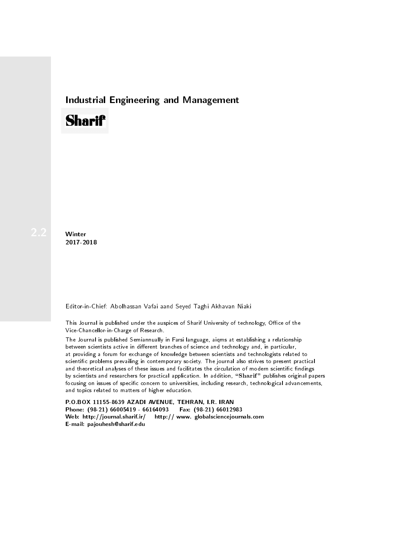## Industrial Engineering and Management

## **Sharif**

Winter 2017-2018

Editor-in-Chief: Abolhassan Vafai aand Seyed Taghi Akhavan Niaki

This Journal is published under the auspices of Sharif University of technology, Office of the Vice-Chancellor-in-Charge of Research.

The Journal is published Semiannually in Farsi language, aiqms at establishing a relationship between scientists active in different branches of science and technology and, in particular, at providing a forum for exchange of knowledge between scientists and technologists related to scientic problems prevailing in contemporary society. The journal also strives to present practical and theoretical analyses of these issues and facilitates the circulation of modern scientific findings by scientists and researchers for practical application. In addition, "Sharif" publishes original papers focusing on issues of specific concern to universities, including research, technological advancements, and topics related to matters of higher education.

P.O.BOX 11155-8639 AZADI AVENUE, TEHRAN, I.R. IRAN Phone: (98-21) 66005419 - 66164093 Fax: (98-21) 66012983 Web: http://journal.sharif.ir/ http:// www. globalsciencejournals.com E-mail: pajouhesh@sharif.edu